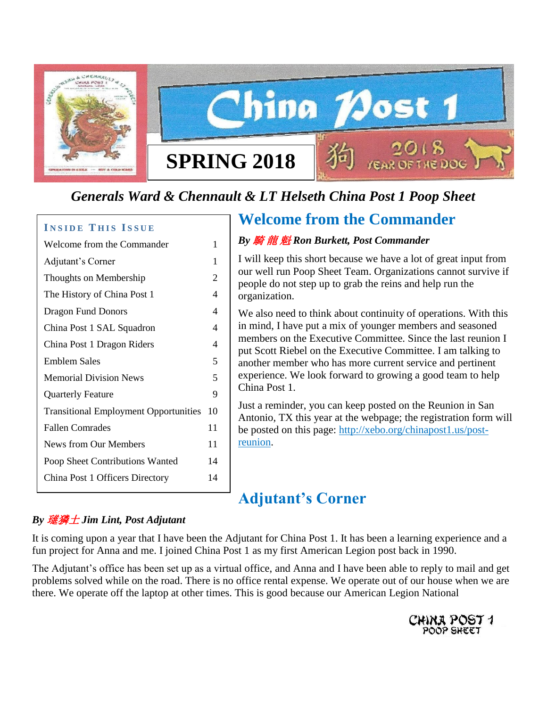

# *Generals Ward & Chennault & LT Helseth China Post 1 Poop Sheet*

### **INSIDE THIS ISSUE**

| Welcome from the Commander                   | 1              |
|----------------------------------------------|----------------|
| Adjutant's Corner                            | 1              |
| Thoughts on Membership                       | $\overline{2}$ |
| The History of China Post 1                  | 4              |
| <b>Dragon Fund Donors</b>                    | 4              |
| China Post 1 SAL Squadron                    | 4              |
| China Post 1 Dragon Riders                   | 4              |
| Emblem Sales                                 | 5              |
| <b>Memorial Division News</b>                | 5              |
| <b>Quarterly Feature</b>                     | 9              |
| <b>Transitional Employment Opportunities</b> | 10             |
| <b>Fallen Comrades</b>                       | 11             |
| News from Our Members                        | 11             |
| Poop Sheet Contributions Wanted              | 14             |
| China Post 1 Officers Directory              | 14             |
|                                              |                |

# **Welcome from the Commander**

### *By* 騎 龍 魁 *Ron Burkett, Post Commander*

I will keep this short because we have a lot of great input from our well run Poop Sheet Team. Organizations cannot survive if people do not step up to grab the reins and help run the organization.

We also need to think about continuity of operations. With this in mind, I have put a mix of younger members and seasoned members on the Executive Committee. Since the last reunion I put Scott Riebel on the Executive Committee. I am talking to another member who has more current service and pertinent experience. We look forward to growing a good team to help China Post 1.

Just a reminder, you can keep posted on the Reunion in San Antonio, TX this year at the webpage; the registration form will be posted on this page: [http://xebo.org/chinapost1.us/post](http://xebo.org/chinapost1.us/post-reunion)[reunion.](http://xebo.org/chinapost1.us/post-reunion)

# **Adjutant's Corner**

### *By* 璡獜土 *Jim Lint, Post Adjutant*

It is coming upon a year that I have been the Adjutant for China Post 1. It has been a learning experience and a fun project for Anna and me. I joined China Post 1 as my first American Legion post back in 1990.

The Adjutant's office has been set up as a virtual office, and Anna and I have been able to reply to mail and get problems solved while on the road. There is no office rental expense. We operate out of our house when we are there. We operate off the laptop at other times. This is good because our American Legion National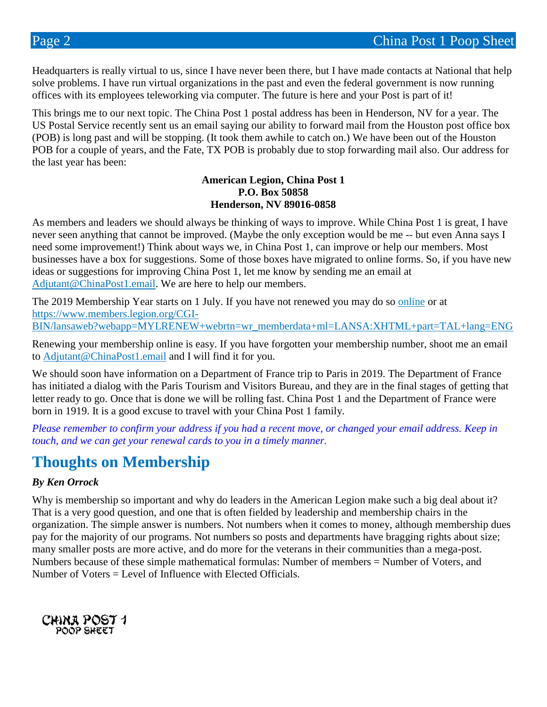Headquarters is really virtual to us, since I have never been there, but I have made contacts at National that help solve problems. I have run virtual organizations in the past and even the federal government is now running offices with its employees teleworking via computer. The future is here and your Post is part of it!

This brings me to our next topic. The China Post 1 postal address has been in Henderson, NV for a year. The US Postal Service recently sent us an email saying our ability to forward mail from the Houston post office box (POB) is long past and will be stopping. (It took them awhile to catch on.) We have been out of the Houston POB for a couple of years, and the Fate, TX POB is probably due to stop forwarding mail also. Our address for the last year has been:

#### **American Legion, China Post 1 P.O. Box 50858 Henderson, NV 89016-0858**

As members and leaders we should always be thinking of ways to improve. While China Post 1 is great, I have never seen anything that cannot be improved. (Maybe the only exception would be me -- but even Anna says I need some improvement!) Think about ways we, in China Post 1, can improve or help our members. Most businesses have a box for suggestions. Some of those boxes have migrated to online forms. So, if you have new ideas or suggestions for improving China Post 1, let me know by sending me an email at [Adjutant@ChinaPost1.email.](mailto:Adjutant@ChinaPost1.email) We are here to help our members.

The 2019 Membership Year starts on 1 July. If you have not renewed you may do so [online](https://www.members.legion.org/CGI-BIN/lansaweb?webapp=MYLRENEW+webrtn=wr_memberdata+ml=LANSA:XHTML+part=TAL+lang=ENG) or [at](https://www.members.legion.org/CGI-BIN/lansaweb?webapp=MYLRENEW+webrtn=wr_memberdata+ml=LANSA:XHTML+part=TAL+lang=ENG)  [https://www.members.legion.org/CGI-](https://www.members.legion.org/CGI-BIN/lansaweb?webapp=MYLRENEW+webrtn=wr_memberdata+ml=LANSA:XHTML+part=TAL+lang=ENG)[BIN/lansaweb?webapp=MYLRENEW+webrtn=wr\\_memberdata+ml=LANSA:XHTML+part=TAL+lang=ENG](https://www.members.legion.org/CGI-BIN/lansaweb?webapp=MYLRENEW+webrtn=wr_memberdata+ml=LANSA:XHTML+part=TAL+lang=ENG)

Renewing your membership online is easy. If you have forgotten your membership number, shoot me an email to [Adjutant@ChinaPost1.email](mailto:Adjutant@ChinaPost1.email) and I will find it for you.

We should soon have information on a Department of France trip to Paris in 2019. The Department of France has initiated a dialog with the Paris Tourism and Visitors Bureau, and they are in the final stages of getting that letter ready to go. Once that is done we will be rolling fast. China Post 1 and the Department of France were born in 1919. It is a good excuse to travel with your China Post 1 family.

*Please remember to confirm your address if you had a recent move, or changed your email address. Keep in touch, and we can get your renewal cards to you in a timely manner.*

# **Thoughts on Membership**

### *By Ken Orrock*

Why is membership so important and why do leaders in the American Legion make such a big deal about it? That is a very good question, and one that is often fielded by leadership and membership chairs in the organization. The simple answer is numbers. Not numbers when it comes to money, although membership dues pay for the majority of our programs. Not numbers so posts and departments have bragging rights about size; many smaller posts are more active, and do more for the veterans in their communities than a mega-post. Numbers because of these simple mathematical formulas: Number of members = Number of Voters, and Number of Voters = Level of Influence with Elected Officials.

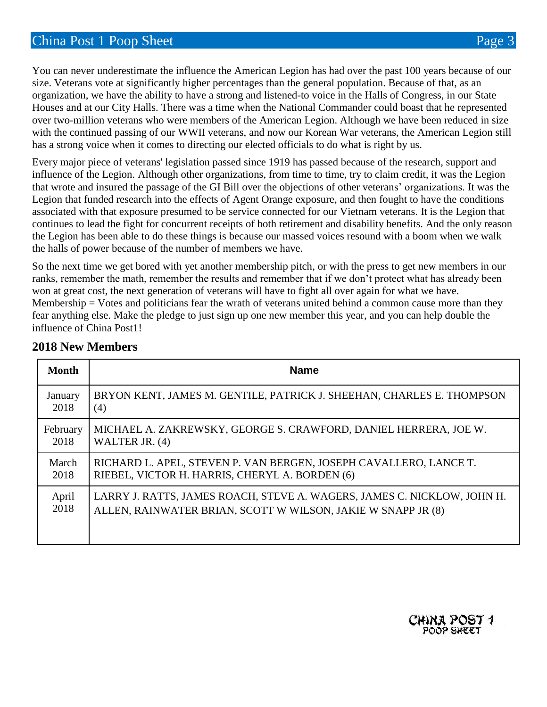You can never underestimate the influence the American Legion has had over the past 100 years because of our size. Veterans vote at significantly higher percentages than the general population. Because of that, as an organization, we have the ability to have a strong and listened-to voice in the Halls of Congress, in our State Houses and at our City Halls. There was a time when the National Commander could boast that he represented over two-million veterans who were members of the American Legion. Although we have been reduced in size with the continued passing of our WWII veterans, and now our Korean War veterans, the American Legion still has a strong voice when it comes to directing our elected officials to do what is right by us.

Every major piece of veterans' legislation passed since 1919 has passed because of the research, support and influence of the Legion. Although other organizations, from time to time, try to claim credit, it was the Legion that wrote and insured the passage of the GI Bill over the objections of other veterans' organizations. It was the Legion that funded research into the effects of Agent Orange exposure, and then fought to have the conditions associated with that exposure presumed to be service connected for our Vietnam veterans. It is the Legion that continues to lead the fight for concurrent receipts of both retirement and disability benefits. And the only reason the Legion has been able to do these things is because our massed voices resound with a boom when we walk the halls of power because of the number of members we have.

So the next time we get bored with yet another membership pitch, or with the press to get new members in our ranks, remember the math, remember the results and remember that if we don't protect what has already been won at great cost, the next generation of veterans will have to fight all over again for what we have. Membership  $=$  Votes and politicians fear the wrath of veterans united behind a common cause more than they fear anything else. Make the pledge to just sign up one new member this year, and you can help double the influence of China Post1!

| <b>Month</b> | <b>Name</b>                                                             |
|--------------|-------------------------------------------------------------------------|
| January      | BRYON KENT, JAMES M. GENTILE, PATRICK J. SHEEHAN, CHARLES E. THOMPSON   |
| 2018         | (4)                                                                     |
| February     | MICHAEL A. ZAKREWSKY, GEORGE S. CRAWFORD, DANIEL HERRERA, JOE W.        |
| 2018         | WALTER JR. (4)                                                          |
| March        | RICHARD L. APEL, STEVEN P. VAN BERGEN, JOSEPH CAVALLERO, LANCE T.       |
| 2018         | RIEBEL, VICTOR H. HARRIS, CHERYL A. BORDEN (6)                          |
| April        | LARRY J. RATTS, JAMES ROACH, STEVE A. WAGERS, JAMES C. NICKLOW, JOHN H. |
| 2018         | ALLEN, RAINWATER BRIAN, SCOTT W WILSON, JAKIE W SNAPP JR (8)            |

### **2018 New Members**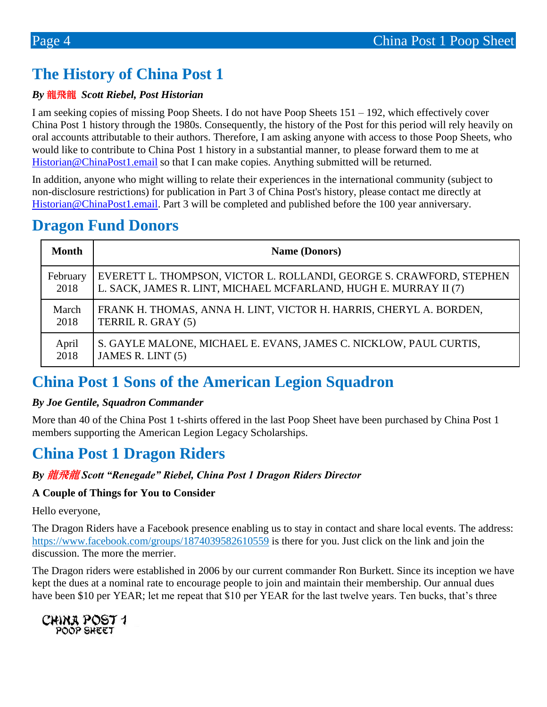# **The History of China Post 1**

### *By* 龍飛龍 *Scott Riebel, Post Historian*

I am seeking copies of missing Poop Sheets. I do not have Poop Sheets 151 – 192, which effectively cover China Post 1 history through the 1980s. Consequently, the history of the Post for this period will rely heavily on oral accounts attributable to their authors. Therefore, I am asking anyone with access to those Poop Sheets, who would like to contribute to China Post 1 history in a substantial manner, to please forward them to me at [Historian@ChinaPost1.email](mailto:Historian@ChinaPost1.email) so that I can make copies. Anything submitted will be returned.

In addition, anyone who might willing to relate their experiences in the international community (subject to non-disclosure restrictions) for publication in Part 3 of China Post's history, please contact me directly at Historian @ChinaPost1.email. Part 3 will be completed and published before the 100 year anniversary.

## **Dragon Fund Donors**

| <b>Month</b> | <b>Name (Donors)</b>                                                 |
|--------------|----------------------------------------------------------------------|
| February     | EVERETT L. THOMPSON, VICTOR L. ROLLANDI, GEORGE S. CRAWFORD, STEPHEN |
| 2018         | L. SACK, JAMES R. LINT, MICHAEL MCFARLAND, HUGH E. MURRAY II (7)     |
| March        | FRANK H. THOMAS, ANNA H. LINT, VICTOR H. HARRIS, CHERYL A. BORDEN,   |
| 2018         | TERRIL R. GRAY (5)                                                   |
| April        | S. GAYLE MALONE, MICHAEL E. EVANS, JAMES C. NICKLOW, PAUL CURTIS,    |
| 2018         | JAMES R. LINT (5)                                                    |

# **China Post 1 Sons of the American Legion Squadron**

### *By Joe Gentile, Squadron Commander*

More than 40 of the China Post 1 t-shirts offered in the last Poop Sheet have been purchased by China Post 1 members supporting the American Legion Legacy Scholarships.

# **China Post 1 Dragon Riders**

#### *By* 龍飛龍 *Scott "Renegade" Riebel, China Post 1 Dragon Riders Director*

### **A Couple of Things for You to Consider**

Hello everyone,

The Dragon Riders have a Facebook presence enabling us to stay in contact and share local events. The address[:](https://www.facebook.com/groups/1874039582610559/) [https://www.facebook.com/groups/1874039582610559](https://www.facebook.com/groups/1874039582610559/) is there for you. Just click on the link and join the discussion. The more the merrier.

The Dragon riders were established in 2006 by our current commander Ron Burkett. Since its inception we have kept the dues at a nominal rate to encourage people to join and maintain their membership. Our annual dues have been \$10 per YEAR; let me repeat that \$10 per YEAR for the last twelve years. Ten bucks, that's three

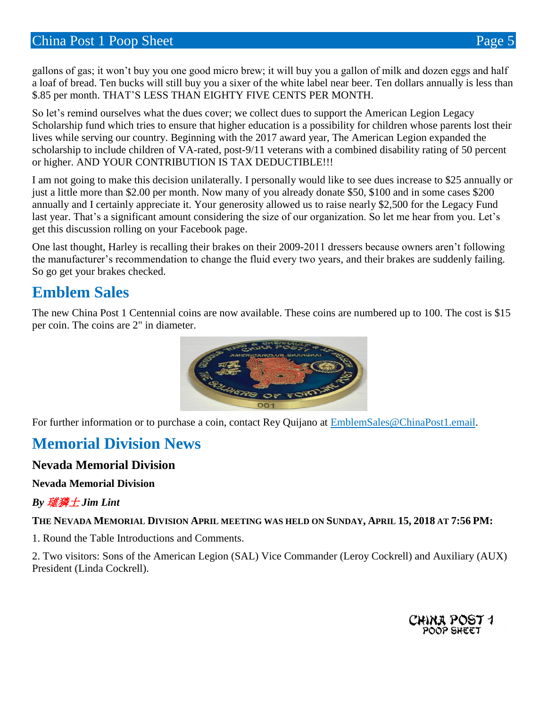gallons of gas; it won't buy you one good micro brew; it will buy you a gallon of milk and dozen eggs and half a loaf of bread. Ten bucks will still buy you a sixer of the white label near beer. Ten dollars annually is less than \$.85 per month. THAT'S LESS THAN EIGHTY FIVE CENTS PER MONTH.

So let's remind ourselves what the dues cover; we collect dues to support the American Legion Legacy Scholarship fund which tries to ensure that higher education is a possibility for children whose parents lost their lives while serving our country. Beginning with the 2017 award year, The American Legion expanded the scholarship to include children of VA-rated, post-9/11 veterans with a combined disability rating of 50 percent or higher. AND YOUR CONTRIBUTION IS TAX DEDUCTIBLE!!!

I am not going to make this decision unilaterally. I personally would like to see dues increase to \$25 annually or just a little more than \$2.00 per month. Now many of you already donate \$50, \$100 and in some cases \$200 annually and I certainly appreciate it. Your generosity allowed us to raise nearly \$2,500 for the Legacy Fund last year. That's a significant amount considering the size of our organization. So let me hear from you. Let's get this discussion rolling on your Facebook page.

One last thought, Harley is recalling their brakes on their 2009-2011 dressers because owners aren't following the manufacturer's recommendation to change the fluid every two years, and their brakes are suddenly failing. So go get your brakes checked.

# **Emblem Sales**

The new China Post 1 Centennial coins are now available. These coins are numbered up to 100. The cost is \$15 per coin. The coins are 2" in diameter.



For further information or to purchase a coin, contact Rey Quijano at [EmblemSales@ChinaPost1.email.](mailto:EmblemSales@ChinaPost1.email)

# **Memorial Division News**

### **Nevada Memorial Division**

### **Nevada Memorial Division**

### *By* 璡獜土 *Jim Lint*

THE NEVADA MEMORIAL DIVISION APRIL MEETING WAS HELD ON SUNDAY, APRIL 15, 2018 AT 7:56 PM:

1. Round the Table Introductions and Comments.

2. Two visitors: Sons of the American Legion (SAL) Vice Commander (Leroy Cockrell) and Auxiliary (AUX) President (Linda Cockrell).

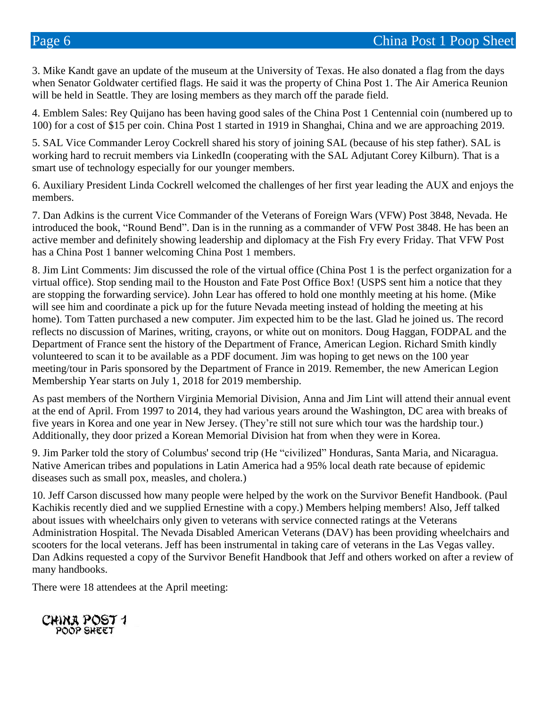3. Mike Kandt gave an update of the museum at the University of Texas. He also donated a flag from the days when Senator Goldwater certified flags. He said it was the property of China Post 1. The Air America Reunion will be held in Seattle. They are losing members as they march off the parade field.

4. Emblem Sales: Rey Quijano has been having good sales of the China Post 1 Centennial coin (numbered up to 100) for a cost of \$15 per coin. China Post 1 started in 1919 in Shanghai, China and we are approaching 2019.

5. SAL Vice Commander Leroy Cockrell shared his story of joining SAL (because of his step father). SAL is working hard to recruit members via LinkedIn (cooperating with the SAL Adjutant Corey Kilburn). That is a smart use of technology especially for our younger members.

6. Auxiliary President Linda Cockrell welcomed the challenges of her first year leading the AUX and enjoys the members.

7. Dan Adkins is the current Vice Commander of the Veterans of Foreign Wars (VFW) Post 3848, Nevada. He introduced the book, "Round Bend". Dan is in the running as a commander of VFW Post 3848. He has been an active member and definitely showing leadership and diplomacy at the Fish Fry every Friday. That VFW Post has a China Post 1 banner welcoming China Post 1 members.

8. Jim Lint Comments: Jim discussed the role of the virtual office (China Post 1 is the perfect organization for a virtual office). Stop sending mail to the Houston and Fate Post Office Box! (USPS sent him a notice that they are stopping the forwarding service). John Lear has offered to hold one monthly meeting at his home. (Mike will see him and coordinate a pick up for the future Nevada meeting instead of holding the meeting at his home). Tom Tatten purchased a new computer. Jim expected him to be the last. Glad he joined us. The record reflects no discussion of Marines, writing, crayons, or white out on monitors. Doug Haggan, FODPAL and the Department of France sent the history of the Department of France, American Legion. Richard Smith kindly volunteered to scan it to be available as a PDF document. Jim was hoping to get news on the 100 year meeting/tour in Paris sponsored by the Department of France in 2019. Remember, the new American Legion Membership Year starts on July 1, 2018 for 2019 membership.

As past members of the Northern Virginia Memorial Division, Anna and Jim Lint will attend their annual event at the end of April. From 1997 to 2014, they had various years around the Washington, DC area with breaks of five years in Korea and one year in New Jersey. (They're still not sure which tour was the hardship tour.) Additionally, they door prized a Korean Memorial Division hat from when they were in Korea.

9. Jim Parker told the story of Columbus' second trip (He "civilized" Honduras, Santa Maria, and Nicaragua. Native American tribes and populations in Latin America had a 95% local death rate because of epidemic diseases such as small pox, measles, and cholera.)

10. Jeff Carson discussed how many people were helped by the work on the Survivor Benefit Handbook. (Paul Kachikis recently died and we supplied Ernestine with a copy.) Members helping members! Also, Jeff talked about issues with wheelchairs only given to veterans with service connected ratings at the Veterans Administration Hospital. The Nevada Disabled American Veterans (DAV) has been providing wheelchairs and scooters for the local veterans. Jeff has been instrumental in taking care of veterans in the Las Vegas valley. Dan Adkins requested a copy of the Survivor Benefit Handbook that Jeff and others worked on after a review of many handbooks.

There were 18 attendees at the April meeting:

CHINA POST 1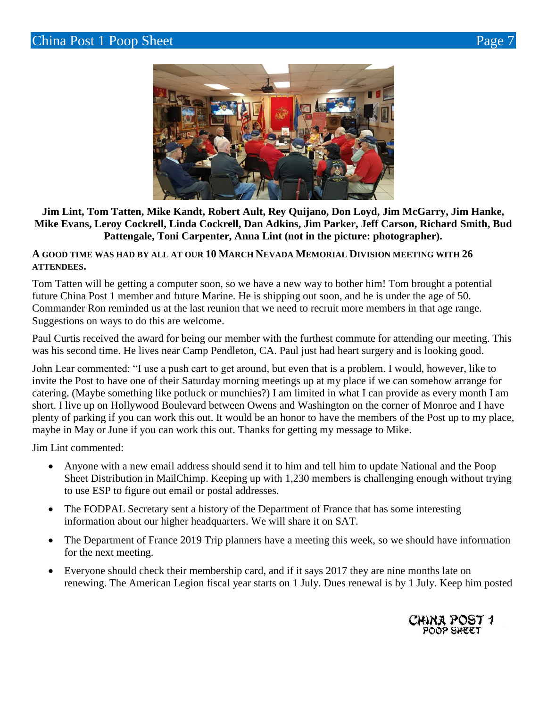



### **Jim Lint, Tom Tatten, Mike Kandt, Robert Ault, Rey Quijano, Don Loyd, Jim McGarry, Jim Hanke, Mike Evans, Leroy Cockrell, Linda Cockrell, Dan Adkins, Jim Parker, Jeff Carson, Richard Smith, Bud Pattengale, Toni Carpenter, Anna Lint (not in the picture: photographer).**

#### **A GOOD TIME WAS HAD BY ALL AT OUR 10 MARCH NEVADA MEMORIAL DIVISION MEETING WITH 26 ATTENDEES.**

Tom Tatten will be getting a computer soon, so we have a new way to bother him! Tom brought a potential future China Post 1 member and future Marine. He is shipping out soon, and he is under the age of 50. Commander Ron reminded us at the last reunion that we need to recruit more members in that age range. Suggestions on ways to do this are welcome.

Paul Curtis received the award for being our member with the furthest commute for attending our meeting. This was his second time. He lives near Camp Pendleton, CA. Paul just had heart surgery and is looking good.

John Lear commented: "I use a push cart to get around, but even that is a problem. I would, however, like to invite the Post to have one of their Saturday morning meetings up at my place if we can somehow arrange for catering. (Maybe something like potluck or munchies?) I am limited in what I can provide as every month I am short. I live up on Hollywood Boulevard between Owens and Washington on the corner of Monroe and I have plenty of parking if you can work this out. It would be an honor to have the members of the Post up to my place, maybe in May or June if you can work this out. Thanks for getting my message to Mike.

Jim Lint commented:

- Anyone with a new email address should send it to him and tell him to update National and the Poop Sheet Distribution in MailChimp. Keeping up with 1,230 members is challenging enough without trying to use ESP to figure out email or postal addresses.
- The FODPAL Secretary sent a history of the Department of France that has some interesting information about our higher headquarters. We will share it on SAT.
- The Department of France 2019 Trip planners have a meeting this week, so we should have information for the next meeting.
- Everyone should check their membership card, and if it says 2017 they are nine months late on renewing. The American Legion fiscal year starts on 1 July. Dues renewal is by 1 July. Keep him posted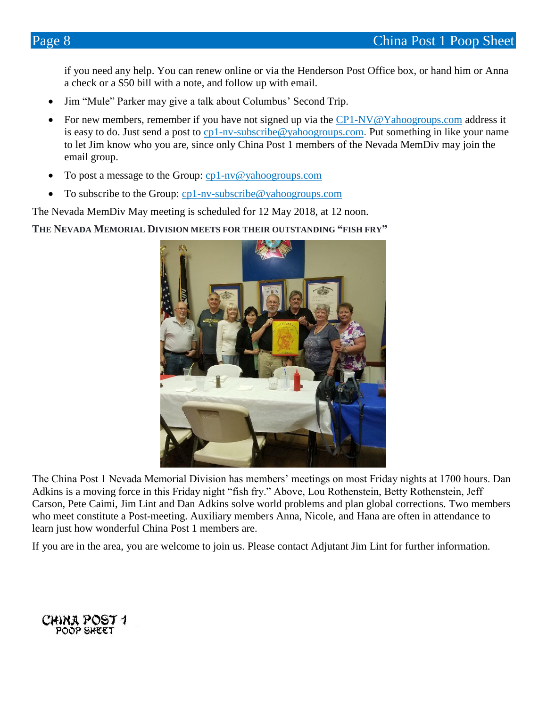if you need any help. You can renew online or via the Henderson Post Office box, or hand him or Anna a check or a \$50 bill with a note, and follow up with email.

- Jim "Mule" Parker may give a talk about Columbus' Second Trip.
- For new members, remember if you have not signed up via the [CP1-NV@Yahoogroups.com](mailto:CP1-NV@Yahoogroups.com) address it is easy to do. Just send a post to [cp1-nv-subscribe@yahoogroups.com](mailto:cp1-nv-subscribe@yahoogroups.com). Put something in like your name to let Jim know who you are, since only China Post 1 members of the Nevada MemDiv may join the email group.
- To post a message to the Group: [cp1-nv@yahoogroups.com](mailto:cp1-nv@yahoogroups.com)
- To subscribe to the Group: [cp1-nv-subscribe@yahoogroups.com](mailto:cp1-nv-subscribe@yahoogroups.com)

The Nevada MemDiv May meeting is scheduled for 12 May 2018, at 12 noon.

**THE NEVADA MEMORIAL DIVISION MEETS FOR THEIR OUTSTANDING "FISH FRY"**



The China Post 1 Nevada Memorial Division has members' meetings on most Friday nights at 1700 hours. Dan Adkins is a moving force in this Friday night "fish fry." Above, Lou Rothenstein, Betty Rothenstein, Jeff Carson, Pete Caimi, Jim Lint and Dan Adkins solve world problems and plan global corrections. Two members who meet constitute a Post-meeting. Auxiliary members Anna, Nicole, and Hana are often in attendance to learn just how wonderful China Post 1 members are.

If you are in the area, you are welcome to join us. Please contact Adjutant Jim Lint for further information.

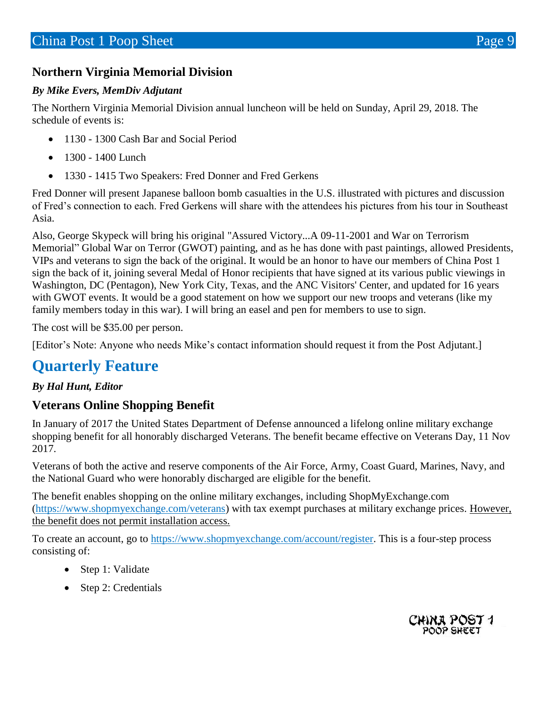### **Northern Virginia Memorial Division**

### *By Mike Evers, MemDiv Adjutant*

The Northern Virginia Memorial Division annual luncheon will be held on Sunday, April 29, 2018. The schedule of events is:

- 1130 1300 Cash Bar and Social Period
- 1300 1400 Lunch
- 1330 1415 Two Speakers: Fred Donner and Fred Gerkens

Fred Donner will present Japanese balloon bomb casualties in the U.S. illustrated with pictures and discussion of Fred's connection to each. Fred Gerkens will share with the attendees his pictures from his tour in Southeast Asia.

Also, George Skypeck will bring his original "Assured Victory...A 09-11-2001 and War on Terrorism Memorial" Global War on Terror (GWOT) painting, and as he has done with past paintings, allowed Presidents, VIPs and veterans to sign the back of the original. It would be an honor to have our members of China Post 1 sign the back of it, joining several Medal of Honor recipients that have signed at its various public viewings in Washington, DC (Pentagon), New York City, Texas, and the ANC Visitors' Center, and updated for 16 years with GWOT events. It would be a good statement on how we support our new troops and veterans (like my family members today in this war). I will bring an easel and pen for members to use to sign.

The cost will be \$35.00 per person.

[Editor's Note: Anyone who needs Mike's contact information should request it from the Post Adjutant.]

# **Quarterly Feature**

### *By Hal Hunt, Editor*

### **Veterans Online Shopping Benefit**

In January of 2017 the United States Department of Defense announced a lifelong online military exchange shopping benefit for all honorably discharged Veterans. The benefit became effective on Veterans Day, 11 Nov 2017.

Veterans of both the active and reserve components of the Air Force, Army, Coast Guard, Marines, Navy, and the National Guard who were honorably discharged are eligible for the benefit.

The benefit enables shopping on the online military exchanges, including ShopMyExchange.com [\(https://www.shopmyexchange.com/veterans\)](https://www.shopmyexchange.com/veterans) with tax exempt purchases at military exchange prices. However, the benefit does not permit installation access.

To create an account, go to [https://www.shopmyexchange.com/account/register.](https://www.shopmyexchange.com/account/register) This is a four-step process consisting of:

- Step 1: Validate
- Step 2: Credentials

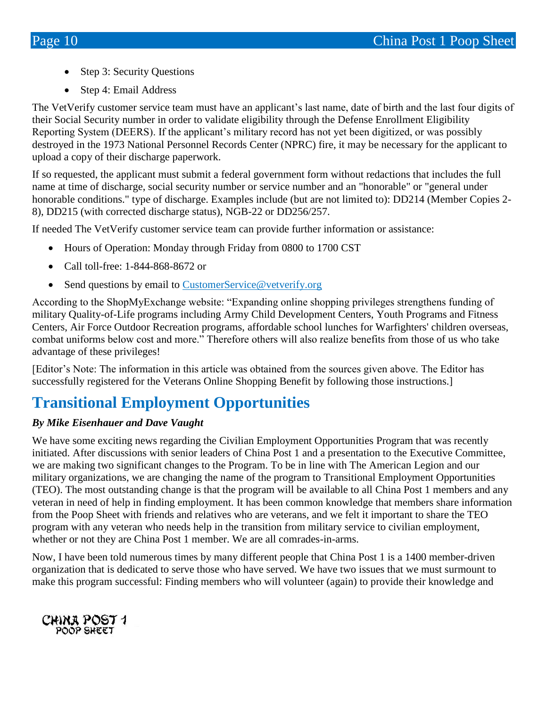- Step 3: Security Questions
- Step 4: Email Address

The VetVerify customer service team must have an applicant's last name, date of birth and the last four digits of their Social Security number in order to validate eligibility through the Defense Enrollment Eligibility Reporting System (DEERS). If the applicant's military record has not yet been digitized, or was possibly destroyed in the 1973 National Personnel Records Center (NPRC) fire, it may be necessary for the applicant to upload a copy of their discharge paperwork.

If so requested, the applicant must submit a federal government form without redactions that includes the full name at time of discharge, social security number or service number and an "honorable" or "general under honorable conditions." type of discharge. Examples include (but are not limited to): DD214 (Member Copies 2-8), DD215 (with corrected discharge status), NGB-22 or DD256/257.

If needed The VetVerify customer service team can provide further information or assistance:

- Hours of Operation: Monday through Friday from 0800 to 1700 CST
- Call toll-free: 1-844-868-8672 or
- Send questions by email to [CustomerService@vetverify.org](mailto:CustomerService@vetverify.org)

According to the ShopMyExchange website: "Expanding online shopping privileges strengthens funding of military Quality-of-Life programs including Army Child Development Centers, Youth Programs and Fitness Centers, Air Force Outdoor Recreation programs, affordable school lunches for Warfighters' children overseas, combat uniforms below cost and more." Therefore others will also realize benefits from those of us who take advantage of these privileges!

[Editor's Note: The information in this article was obtained from the sources given above. The Editor has successfully registered for the Veterans Online Shopping Benefit by following those instructions.]

# **Transitional Employment Opportunities**

### *By Mike Eisenhauer and Dave Vaught*

We have some exciting news regarding the Civilian Employment Opportunities Program that was recently initiated. After discussions with senior leaders of China Post 1 and a presentation to the Executive Committee, we are making two significant changes to the Program. To be in line with The American Legion and our military organizations, we are changing the name of the program to Transitional Employment Opportunities (TEO). The most outstanding change is that the program will be available to all China Post 1 members and any veteran in need of help in finding employment. It has been common knowledge that members share information from the Poop Sheet with friends and relatives who are veterans, and we felt it important to share the TEO program with any veteran who needs help in the transition from military service to civilian employment, whether or not they are China Post 1 member. We are all comrades-in-arms.

Now, I have been told numerous times by many different people that China Post 1 is a 1400 member-driven organization that is dedicated to serve those who have served. We have two issues that we must surmount to make this program successful: Finding members who will volunteer (again) to provide their knowledge and

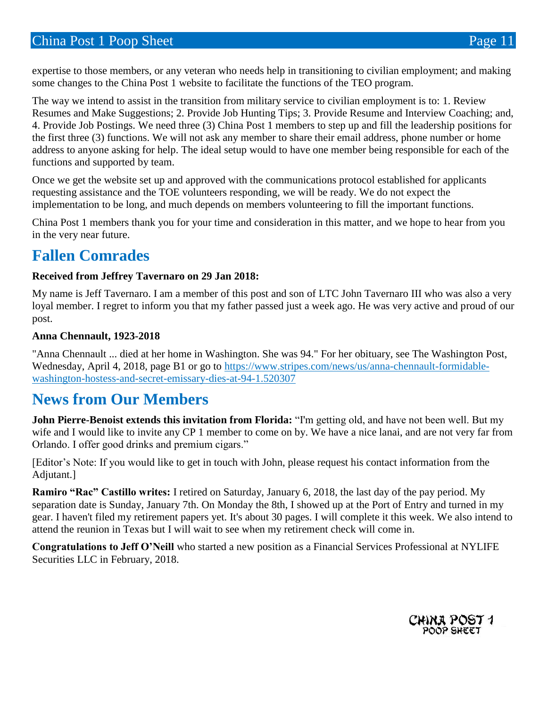expertise to those members, or any veteran who needs help in transitioning to civilian employment; and making some changes to the China Post 1 website to facilitate the functions of the TEO program.

The way we intend to assist in the transition from military service to civilian employment is to: 1. Review Resumes and Make Suggestions; 2. Provide Job Hunting Tips; 3. Provide Resume and Interview Coaching; and, 4. Provide Job Postings. We need three (3) China Post 1 members to step up and fill the leadership positions for the first three (3) functions. We will not ask any member to share their email address, phone number or home address to anyone asking for help. The ideal setup would to have one member being responsible for each of the functions and supported by team.

Once we get the website set up and approved with the communications protocol established for applicants requesting assistance and the TOE volunteers responding, we will be ready. We do not expect the implementation to be long, and much depends on members volunteering to fill the important functions.

China Post 1 members thank you for your time and consideration in this matter, and we hope to hear from you in the very near future.

# **Fallen Comrades**

#### **Received from Jeffrey Tavernaro on 29 Jan 2018:**

My name is Jeff Tavernaro. I am a member of this post and son of LTC John Tavernaro III who was also a very loyal member. I regret to inform you that my father passed just a week ago. He was very active and proud of our post.

#### **Anna Chennault, 1923-2018**

"Anna Chennault ... died at her home in Washington. She was 94." For her obituary, see The Washington Post, Wednesday, April 4, 2018, page B1 or go to [https://www.stripes.com/news/us/anna-chennault-formidable](https://www.stripes.com/news/us/anna-chennault-formidable-washington-hostess-and-secret-emissary-dies-at-94-1.520307)[washington-hostess-and-secret-emissary-dies-at-94-1.520307](https://www.stripes.com/news/us/anna-chennault-formidable-washington-hostess-and-secret-emissary-dies-at-94-1.520307)

### **News from Our Members**

**John Pierre-Benoist extends this invitation from Florida:** "I'm getting old, and have not been well. But my wife and I would like to invite any CP 1 member to come on by. We have a nice lanai, and are not very far from Orlando. I offer good drinks and premium cigars."

[Editor's Note: If you would like to get in touch with John, please request his contact information from the Adjutant.]

**Ramiro "Rac" Castillo writes:** I retired on Saturday, January 6, 2018, the last day of the pay period. My separation date is Sunday, January 7th. On Monday the 8th, I showed up at the Port of Entry and turned in my gear. I haven't filed my retirement papers yet. It's about 30 pages. I will complete it this week. We also intend to attend the reunion in Texas but I will wait to see when my retirement check will come in.

**Congratulations to Jeff O'Neill** who started a new position as a Financial Services Professional at NYLIFE Securities LLC in February, 2018.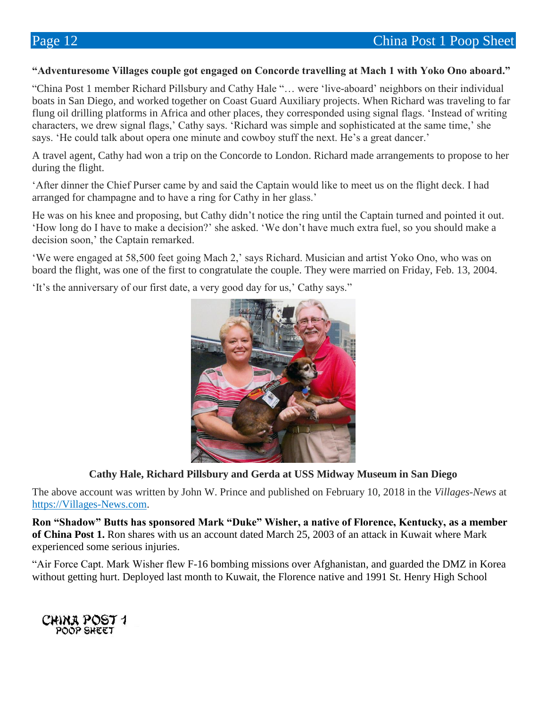#### **"Adventuresome Villages couple got engaged on Concorde travelling at Mach 1 with Yoko Ono aboard."**

"China Post 1 member Richard Pillsbury and Cathy Hale "… were 'live-aboard' neighbors on their individual boats in San Diego, and worked together on Coast Guard Auxiliary projects. When Richard was traveling to far flung oil drilling platforms in Africa and other places, they corresponded using signal flags. 'Instead of writing characters, we drew signal flags,' Cathy says. 'Richard was simple and sophisticated at the same time,' she says. 'He could talk about opera one minute and cowboy stuff the next. He's a great dancer.'

A travel agent, Cathy had won a trip on the Concorde to London. Richard made arrangements to propose to her during the flight.

'After dinner the Chief Purser came by and said the Captain would like to meet us on the flight deck. I had arranged for champagne and to have a ring for Cathy in her glass.'

He was on his knee and proposing, but Cathy didn't notice the ring until the Captain turned and pointed it out. 'How long do I have to make a decision?' she asked. 'We don't have much extra fuel, so you should make a decision soon,' the Captain remarked.

'We were engaged at 58,500 feet going Mach 2,' says Richard. Musician and artist Yoko Ono, who was on board the flight, was one of the first to congratulate the couple. They were married on Friday, Feb. 13, 2004.

'It's the anniversary of our first date, a very good day for us,' Cathy says."



**Cathy Hale, Richard Pillsbury and Gerda at USS Midway Museum in San Diego**

The above account was written by John W. Prince and published on February 10, 2018 in the *Villages-News* at [https://Villages-News.com.](https://villages-news.com/)

**Ron "Shadow" Butts has sponsored Mark "Duke" Wisher, a native of Florence, Kentucky, as a member of China Post 1.** Ron shares with us an account dated March 25, 2003 of an attack in Kuwait where Mark experienced some serious injuries.

"Air Force Capt. Mark Wisher flew F-16 bombing missions over Afghanistan, and guarded the DMZ in Korea without getting hurt. Deployed last month to Kuwait, the Florence native and 1991 St. Henry High School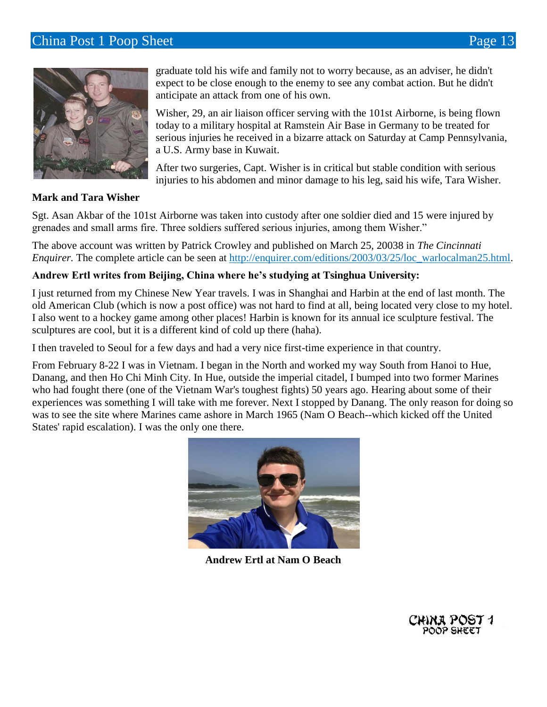### **China Post 1 Poop Sheet Page 13**



graduate told his wife and family not to worry because, as an adviser, he didn't expect to be close enough to the enemy to see any combat action. But he didn't anticipate an attack from one of his own.

Wisher, 29, an air liaison officer serving with the 101st Airborne, is being flown today to a military hospital at Ramstein Air Base in Germany to be treated for serious injuries he received in a bizarre attack on Saturday at Camp Pennsylvania, a U.S. Army base in Kuwait.

After two surgeries, Capt. Wisher is in critical but stable condition with serious injuries to his abdomen and minor damage to his leg, said his wife, Tara Wisher.

#### **Mark and Tara Wisher**

Sgt. Asan Akbar of the 101st Airborne was taken into custody after one soldier died and 15 were injured by grenades and small arms fire. Three soldiers suffered serious injuries, among them Wisher."

The above account was written by Patrick Crowley and published on March 25, 20038 in *The Cincinnati Enquirer.* The complete article can be seen at [http://enquirer.com/editions/2003/03/25/loc\\_warlocalman25.html.](http://enquirer.com/editions/2003/03/25/loc_warlocalman25.html)

#### **Andrew Ertl writes from Beijing, China where he's studying at Tsinghua University:**

I just returned from my Chinese New Year travels. I was in Shanghai and Harbin at the end of last month. The old American Club (which is now a post office) was not hard to find at all, being located very close to my hotel. I also went to a hockey game among other places! Harbin is known for its annual ice sculpture festival. The sculptures are cool, but it is a different kind of cold up there (haha).

I then traveled to Seoul for a few days and had a very nice first-time experience in that country.

From February 8-22 I was in Vietnam. I began in the North and worked my way South from Hanoi to Hue, Danang, and then Ho Chi Minh City. In Hue, outside the imperial citadel, I bumped into two former Marines who had fought there (one of the Vietnam War's toughest fights) 50 years ago. Hearing about some of their experiences was something I will take with me forever. Next I stopped by Danang. The only reason for doing so was to see the site where Marines came ashore in March 1965 (Nam O Beach--which kicked off the United States' rapid escalation). I was the only one there.



**Andrew Ertl at Nam O Beach**

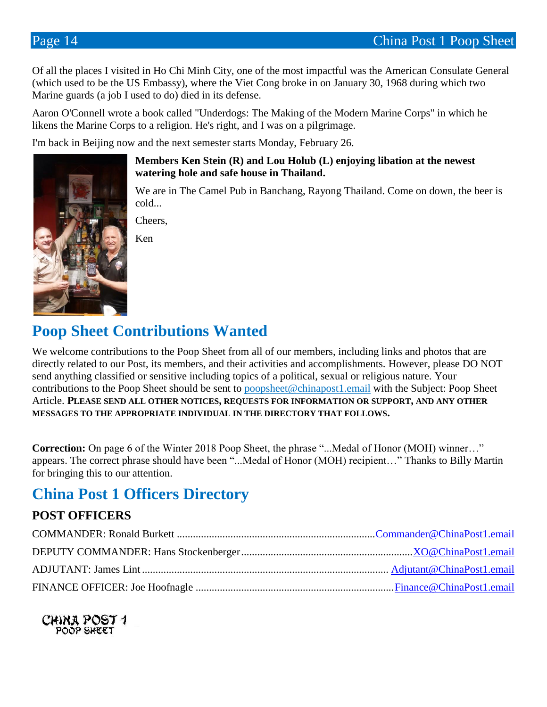Of all the places I visited in Ho Chi Minh City, one of the most impactful was the American Consulate General (which used to be the US Embassy), where the Viet Cong broke in on January 30, 1968 during which two Marine guards (a job I used to do) died in its defense.

Aaron O'Connell wrote a book called "Underdogs: The Making of the Modern Marine Corps" in which he likens the Marine Corps to a religion. He's right, and I was on a pilgrimage.

I'm back in Beijing now and the next semester starts Monday, February 26.

**Members Ken Stein (R) and Lou Holub (L) enjoying libation at the newest watering hole and safe house in Thailand.**

We are in The Camel Pub in Banchang, Rayong Thailand. Come on down, the beer is cold...

Cheers,

Ken

# **Poop Sheet Contributions Wanted**

We welcome contributions to the Poop Sheet from all of our members, including links and photos that are directly related to our Post, its members, and their activities and accomplishments. However, please DO NOT send anything classified or sensitive including topics of a political, sexual or religious nature. Your contributions to the Poop Sheet should be sent to [poopsheet@chinapost1.email](mailto:poopsheet@chinapost1.email) with the Subject: Poop Sheet Article. **PLEASE SEND ALL OTHER NOTICES, REQUESTS FOR INFORMATION OR SUPPORT, AND ANY OTHER MESSAGES TO THE APPROPRIATE INDIVIDUAL IN THE DIRECTORY THAT FOLLOWS.**

**Correction:** On page 6 of the Winter 2018 Poop Sheet, the phrase "...Medal of Honor (MOH) winner…" appears. The correct phrase should have been "...Medal of Honor (MOH) recipient…" Thanks to Billy Martin for bringing this to our attention.

# **China Post 1 Officers Directory**

### **POST OFFICERS**